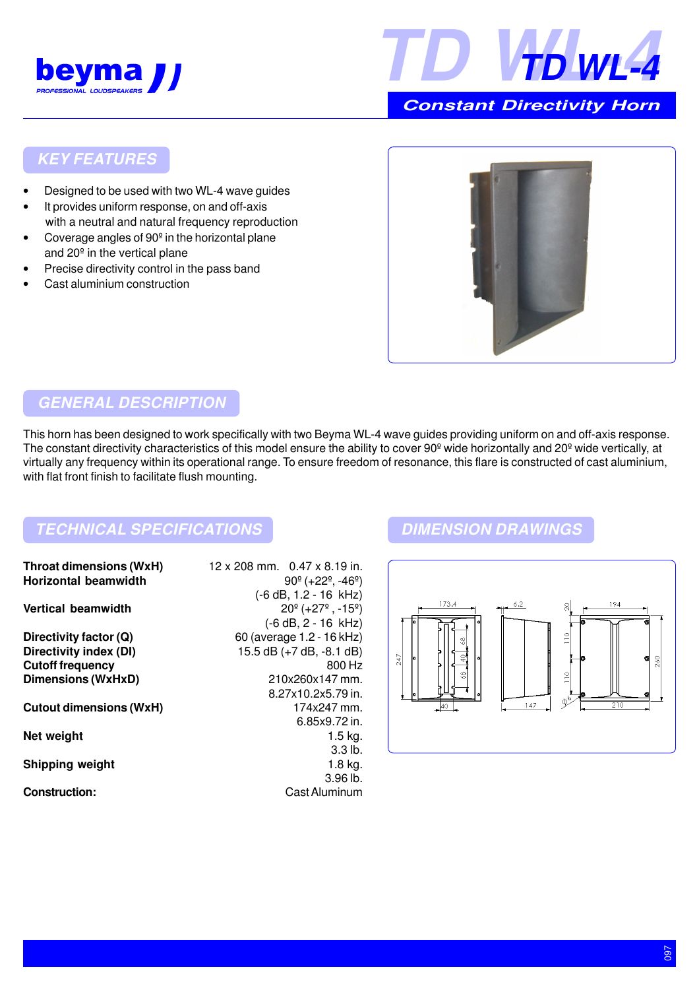



 **Constant Directivity Horn**

### **KEY FEATURES**

- Designed to be used with two WL-4 wave guides
- It provides uniform response, on and off-axis with a neutral and natural frequency reproduction
- Coverage angles of 90º in the horizontal plane and 20º in the vertical plane
- Precise directivity control in the pass band
- Cast aluminium construction



### **GENERAL DESCRIPTION**

This horn has been designed to work specifically with two Beyma WL-4 wave guides providing uniform on and off-axis response. The constant directivity characteristics of this model ensure the ability to cover 90<sup>°</sup> wide horizontally and 20<sup>°</sup> wide vertically, at virtually any frequency within its operational range. To ensure freedom of resonance, this flare is constructed of cast aluminium, with flat front finish to facilitate flush mounting.

## **TECHNICAL SPECIFICATIONS DIMENSION DRAWINGS**

| <b>Throat dimensions (WxH)</b><br><b>Horizontal beamwidth</b> | 12 x 208 mm. 0.47 x 8.19 in.<br>$90^{\circ}$ (+22 <sup>°</sup> , -46 <sup>°</sup> )                     |
|---------------------------------------------------------------|---------------------------------------------------------------------------------------------------------|
| Vertical beamwidth                                            | $(-6 dB, 1.2 - 16 kHz)$<br>$20^{\circ}$ (+27 <sup>°</sup> , -15 <sup>°</sup> )<br>$(-6 dB, 2 - 16 kHz)$ |
| Directivity factor (Q)                                        | 60 (average 1.2 - 16 kHz)                                                                               |
| Directivity index (DI)                                        | 15.5 dB $(+7$ dB, $-8.1$ dB)                                                                            |
| <b>Cutoff frequency</b>                                       | 800 Hz                                                                                                  |
| <b>Dimensions (WxHxD)</b>                                     | 210x260x147 mm.                                                                                         |
|                                                               | 8.27x10.2x5.79 in.                                                                                      |
| <b>Cutout dimensions (WxH)</b>                                | 174x247 mm.                                                                                             |
|                                                               | 6.85x9.72 in.                                                                                           |
| Net weight                                                    | $1.5$ kg.                                                                                               |
|                                                               | 3.3 <sub>lb</sub>                                                                                       |
| <b>Shipping weight</b>                                        | $1.8$ kg.                                                                                               |
|                                                               | 3.96 lb.                                                                                                |
| <b>Construction:</b>                                          | Cast Aluminum                                                                                           |
|                                                               |                                                                                                         |